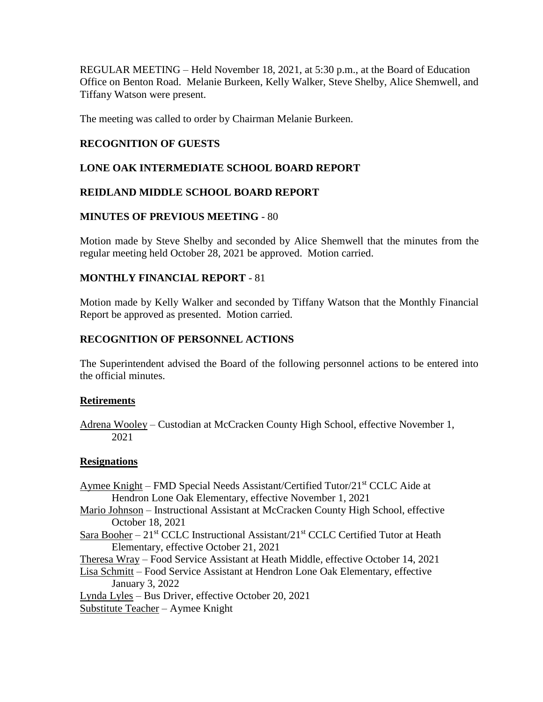REGULAR MEETING – Held November 18, 2021, at 5:30 p.m., at the Board of Education Office on Benton Road. Melanie Burkeen, Kelly Walker, Steve Shelby, Alice Shemwell, and Tiffany Watson were present.

The meeting was called to order by Chairman Melanie Burkeen.

## **RECOGNITION OF GUESTS**

# **LONE OAK INTERMEDIATE SCHOOL BOARD REPORT**

# **REIDLAND MIDDLE SCHOOL BOARD REPORT**

### **MINUTES OF PREVIOUS MEETING** - 80

Motion made by Steve Shelby and seconded by Alice Shemwell that the minutes from the regular meeting held October 28, 2021 be approved. Motion carried.

# **MONTHLY FINANCIAL REPORT** - 81

Motion made by Kelly Walker and seconded by Tiffany Watson that the Monthly Financial Report be approved as presented. Motion carried.

# **RECOGNITION OF PERSONNEL ACTIONS**

The Superintendent advised the Board of the following personnel actions to be entered into the official minutes.

### **Retirements**

Adrena Wooley – Custodian at McCracken County High School, effective November 1, 2021

### **Resignations**

- Aymee Knight FMD Special Needs Assistant/Certified Tutor/21st CCLC Aide at Hendron Lone Oak Elementary, effective November 1, 2021
- Mario Johnson Instructional Assistant at McCracken County High School, effective October 18, 2021
- Sara Booher 21<sup>st</sup> CCLC Instructional Assistant/21<sup>st</sup> CCLC Certified Tutor at Heath Elementary, effective October 21, 2021

Theresa Wray – Food Service Assistant at Heath Middle, effective October 14, 2021

Lisa Schmitt – Food Service Assistant at Hendron Lone Oak Elementary, effective January 3, 2022

Lynda Lyles – Bus Driver, effective October 20, 2021 Substitute Teacher – Aymee Knight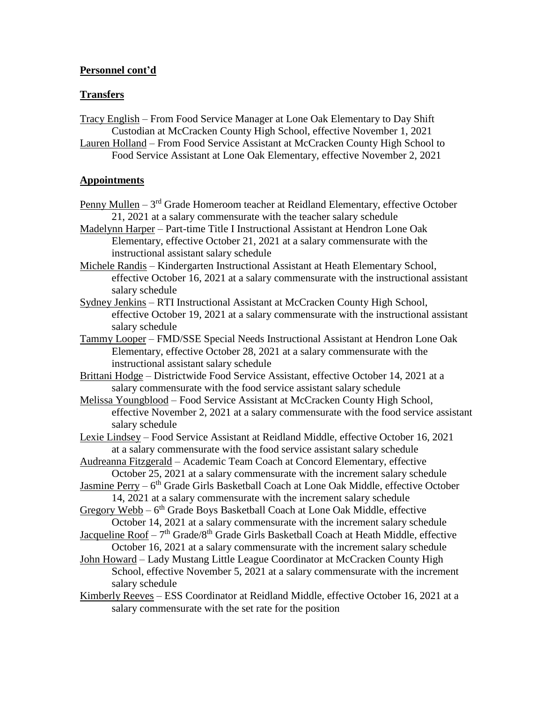# **Personnel cont'd**

### **Transfers**

Tracy English – From Food Service Manager at Lone Oak Elementary to Day Shift Custodian at McCracken County High School, effective November 1, 2021

Lauren Holland – From Food Service Assistant at McCracken County High School to Food Service Assistant at Lone Oak Elementary, effective November 2, 2021

#### **Appointments**

- Penny Mullen 3<sup>rd</sup> Grade Homeroom teacher at Reidland Elementary, effective October 21, 2021 at a salary commensurate with the teacher salary schedule
- Madelynn Harper Part-time Title I Instructional Assistant at Hendron Lone Oak Elementary, effective October 21, 2021 at a salary commensurate with the instructional assistant salary schedule
- Michele Randis Kindergarten Instructional Assistant at Heath Elementary School, effective October 16, 2021 at a salary commensurate with the instructional assistant salary schedule
- Sydney Jenkins RTI Instructional Assistant at McCracken County High School, effective October 19, 2021 at a salary commensurate with the instructional assistant salary schedule
- Tammy Looper FMD/SSE Special Needs Instructional Assistant at Hendron Lone Oak Elementary, effective October 28, 2021 at a salary commensurate with the instructional assistant salary schedule

Brittani Hodge – Districtwide Food Service Assistant, effective October 14, 2021 at a salary commensurate with the food service assistant salary schedule

- Melissa Youngblood Food Service Assistant at McCracken County High School, effective November 2, 2021 at a salary commensurate with the food service assistant salary schedule
- Lexie Lindsey Food Service Assistant at Reidland Middle, effective October 16, 2021 at a salary commensurate with the food service assistant salary schedule

Audreanna Fitzgerald – Academic Team Coach at Concord Elementary, effective October 25, 2021 at a salary commensurate with the increment salary schedule

- Jasmine Perry 6<sup>th</sup> Grade Girls Basketball Coach at Lone Oak Middle, effective October 14, 2021 at a salary commensurate with the increment salary schedule
- Gregory Webb 6<sup>th</sup> Grade Boys Basketball Coach at Lone Oak Middle, effective October 14, 2021 at a salary commensurate with the increment salary schedule
- Jacqueline Roof 7<sup>th</sup> Grade/8<sup>th</sup> Grade Girls Basketball Coach at Heath Middle, effective October 16, 2021 at a salary commensurate with the increment salary schedule
- John Howard Lady Mustang Little League Coordinator at McCracken County High School, effective November 5, 2021 at a salary commensurate with the increment salary schedule
- Kimberly Reeves ESS Coordinator at Reidland Middle, effective October 16, 2021 at a salary commensurate with the set rate for the position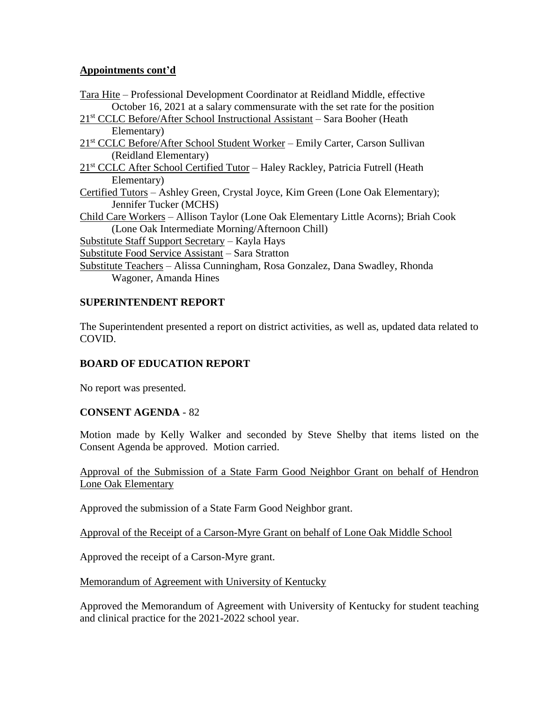# **Appointments cont'd**

Tara Hite – Professional Development Coordinator at Reidland Middle, effective October 16, 2021 at a salary commensurate with the set rate for the position 21<sup>st</sup> CCLC Before/After School Instructional Assistant – Sara Booher (Heath Elementary) 21<sup>st</sup> CCLC Before/After School Student Worker – Emily Carter, Carson Sullivan (Reidland Elementary) 21<sup>st</sup> CCLC After School Certified Tutor – Haley Rackley, Patricia Futrell (Heath Elementary) Certified Tutors – Ashley Green, Crystal Joyce, Kim Green (Lone Oak Elementary); Jennifer Tucker (MCHS) Child Care Workers – Allison Taylor (Lone Oak Elementary Little Acorns); Briah Cook (Lone Oak Intermediate Morning/Afternoon Chill) Substitute Staff Support Secretary – Kayla Hays Substitute Food Service Assistant – Sara Stratton Substitute Teachers – Alissa Cunningham, Rosa Gonzalez, Dana Swadley, Rhonda Wagoner, Amanda Hines

# **SUPERINTENDENT REPORT**

The Superintendent presented a report on district activities, as well as, updated data related to COVID.

# **BOARD OF EDUCATION REPORT**

No report was presented.

# **CONSENT AGENDA** - 82

Motion made by Kelly Walker and seconded by Steve Shelby that items listed on the Consent Agenda be approved. Motion carried.

Approval of the Submission of a State Farm Good Neighbor Grant on behalf of Hendron Lone Oak Elementary

Approved the submission of a State Farm Good Neighbor grant.

Approval of the Receipt of a Carson-Myre Grant on behalf of Lone Oak Middle School

Approved the receipt of a Carson-Myre grant.

Memorandum of Agreement with University of Kentucky

Approved the Memorandum of Agreement with University of Kentucky for student teaching and clinical practice for the 2021-2022 school year.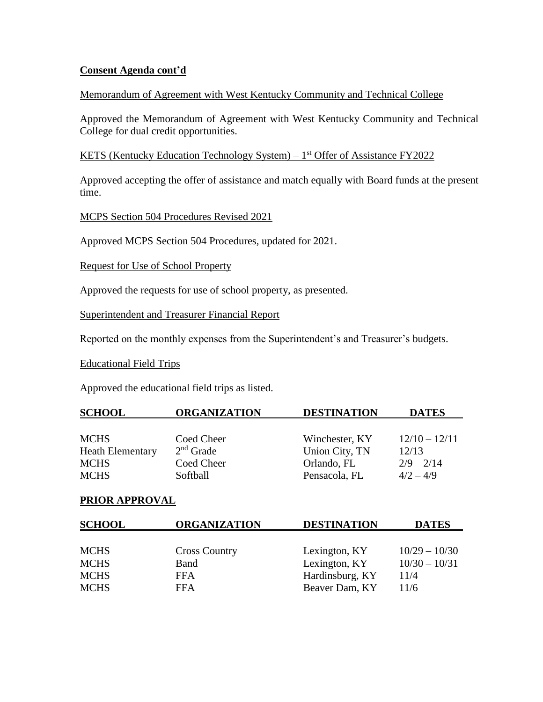# **Consent Agenda cont'd**

#### Memorandum of Agreement with West Kentucky Community and Technical College

Approved the Memorandum of Agreement with West Kentucky Community and Technical College for dual credit opportunities.

## KETS (Kentucky Education Technology System) – 1<sup>st</sup> Offer of Assistance FY2022

Approved accepting the offer of assistance and match equally with Board funds at the present time.

MCPS Section 504 Procedures Revised 2021

Approved MCPS Section 504 Procedures, updated for 2021.

Request for Use of School Property

Approved the requests for use of school property, as presented.

Superintendent and Treasurer Financial Report

Reported on the monthly expenses from the Superintendent's and Treasurer's budgets.

Educational Field Trips

Approved the educational field trips as listed.

| <b>SCHOOL</b>           | <b>ORGANIZATION</b> | <b>DESTINATION</b> | <b>DATES</b>    |
|-------------------------|---------------------|--------------------|-----------------|
|                         |                     |                    |                 |
| <b>MCHS</b>             | Coed Cheer          | Winchester, KY     | $12/10 - 12/11$ |
| <b>Heath Elementary</b> | $2nd$ Grade         | Union City, TN     | 12/13           |
| <b>MCHS</b>             | Coed Cheer          | Orlando, FL        | $2/9 - 2/14$    |
| <b>MCHS</b>             | Softball            | Pensacola, FL      | $4/2 - 4/9$     |

### **PRIOR APPROVAL**

| <b>ORGANIZATION</b>  | <b>DESTINATION</b> | <b>DATES</b>                                                        |
|----------------------|--------------------|---------------------------------------------------------------------|
|                      |                    |                                                                     |
| <b>Cross Country</b> |                    | $10/29 - 10/30$                                                     |
| Band                 |                    | $10/30 - 10/31$                                                     |
| <b>FFA</b>           |                    | 11/4                                                                |
| <b>FFA</b>           |                    | 11/6                                                                |
|                      |                    | Lexington, KY<br>Lexington, KY<br>Hardinsburg, KY<br>Beaver Dam, KY |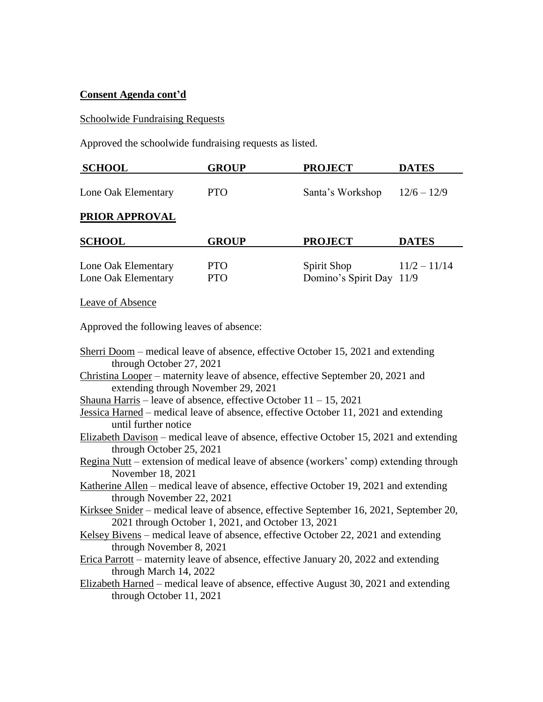# **Consent Agenda cont'd**

# Schoolwide Fundraising Requests

Approved the schoolwide fundraising requests as listed.

| <b>SCHOOL</b>       | <b>GROUP</b> | <b>PROJECT</b>   | <b>DATES</b>  |
|---------------------|--------------|------------------|---------------|
| Lone Oak Elementary | <b>PTO</b>   | Santa's Workshop | $12/6 - 12/9$ |
| PRIOR APPROVAL      |              |                  |               |
|                     |              |                  |               |
| <b>SCHOOL</b>       | <b>GROUP</b> | <b>PROJECT</b>   | <b>DATES</b>  |

Leave of Absence

Approved the following leaves of absence:

| Sherri Doom – medical leave of absence, effective October 15, 2021 and extending       |
|----------------------------------------------------------------------------------------|
| through October 27, 2021                                                               |
| Christina Looper – maternity leave of absence, effective September 20, 2021 and        |
| extending through November 29, 2021                                                    |
| Shauna Harris – leave of absence, effective October $11 - 15$ , 2021                   |
| Jessica Harned – medical leave of absence, effective October 11, 2021 and extending    |
| until further notice                                                                   |
| Elizabeth Davison – medical leave of absence, effective October 15, 2021 and extending |
| through October 25, 2021                                                               |
| Regina Nutt – extension of medical leave of absence (workers' comp) extending through  |
| November 18, 2021                                                                      |
| Katherine Allen – medical leave of absence, effective October 19, 2021 and extending   |
| through November 22, 2021                                                              |
| Kirksee Snider – medical leave of absence, effective September 16, 2021, September 20, |
| 2021 through October 1, 2021, and October 13, 2021                                     |
| Kelsey Bivens – medical leave of absence, effective October 22, 2021 and extending     |
| through November 8, 2021                                                               |
| Erica Parrott – maternity leave of absence, effective January 20, 2022 and extending   |
| through March 14, 2022                                                                 |
| Elizabeth Harned – medical leave of absence, effective August 30, 2021 and extending   |
| through October 11, 2021                                                               |
|                                                                                        |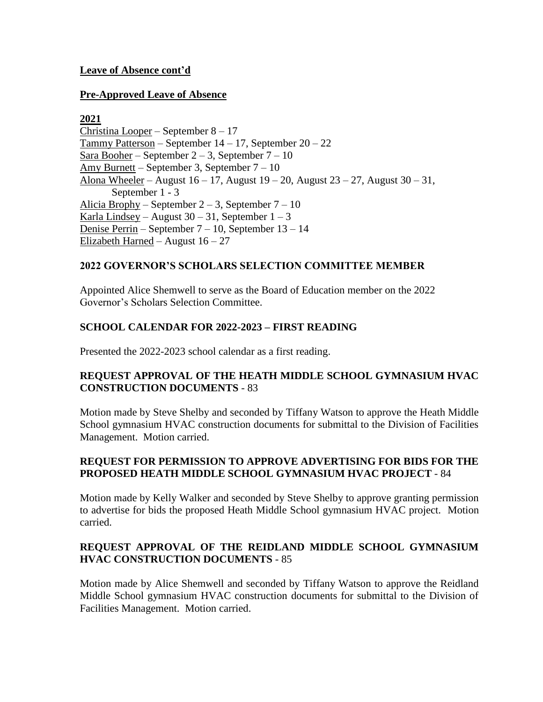# **Leave of Absence cont'd**

## **Pre-Approved Leave of Absence**

# **2021**

Christina Looper – September 8 – 17 Tammy Patterson – September  $14 - 17$ , September  $20 - 22$ Sara Booher – September  $2-3$ , September  $7-10$ Amy Burnett – September 3, September 7 – 10 Alona Wheeler – August  $16 - 17$ , August  $19 - 20$ , August  $23 - 27$ , August  $30 - 31$ , September 1 - 3 Alicia Brophy – September  $2 - 3$ , September  $7 - 10$ Karla Lindsey – August  $30 - 31$ , September  $1 - 3$ Denise Perrin – September 7 – 10, September 13 – 14 Elizabeth Harned – August  $16 - 27$ 

# **2022 GOVERNOR'S SCHOLARS SELECTION COMMITTEE MEMBER**

Appointed Alice Shemwell to serve as the Board of Education member on the 2022 Governor's Scholars Selection Committee.

# **SCHOOL CALENDAR FOR 2022-2023 – FIRST READING**

Presented the 2022-2023 school calendar as a first reading.

# **REQUEST APPROVAL OF THE HEATH MIDDLE SCHOOL GYMNASIUM HVAC CONSTRUCTION DOCUMENTS** - 83

Motion made by Steve Shelby and seconded by Tiffany Watson to approve the Heath Middle School gymnasium HVAC construction documents for submittal to the Division of Facilities Management. Motion carried.

# **REQUEST FOR PERMISSION TO APPROVE ADVERTISING FOR BIDS FOR THE PROPOSED HEATH MIDDLE SCHOOL GYMNASIUM HVAC PROJECT** - 84

Motion made by Kelly Walker and seconded by Steve Shelby to approve granting permission to advertise for bids the proposed Heath Middle School gymnasium HVAC project. Motion carried.

# **REQUEST APPROVAL OF THE REIDLAND MIDDLE SCHOOL GYMNASIUM HVAC CONSTRUCTION DOCUMENTS** - 85

Motion made by Alice Shemwell and seconded by Tiffany Watson to approve the Reidland Middle School gymnasium HVAC construction documents for submittal to the Division of Facilities Management. Motion carried.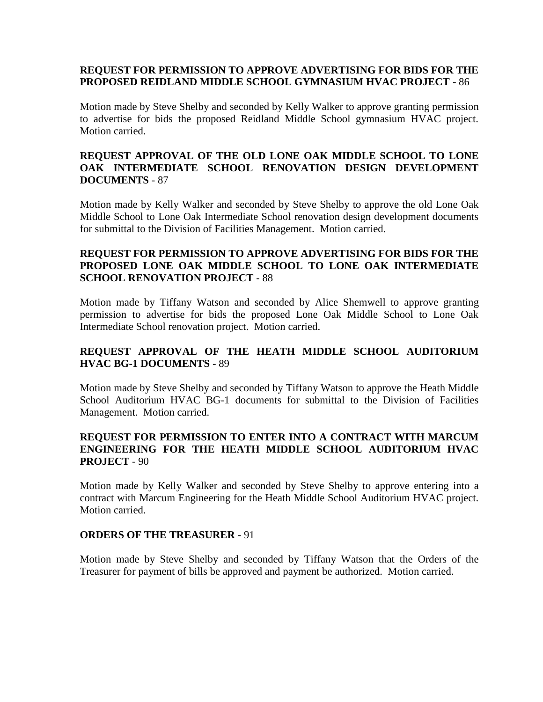# **REQUEST FOR PERMISSION TO APPROVE ADVERTISING FOR BIDS FOR THE PROPOSED REIDLAND MIDDLE SCHOOL GYMNASIUM HVAC PROJECT** - 86

Motion made by Steve Shelby and seconded by Kelly Walker to approve granting permission to advertise for bids the proposed Reidland Middle School gymnasium HVAC project. Motion carried.

# **REQUEST APPROVAL OF THE OLD LONE OAK MIDDLE SCHOOL TO LONE OAK INTERMEDIATE SCHOOL RENOVATION DESIGN DEVELOPMENT DOCUMENTS** - 87

Motion made by Kelly Walker and seconded by Steve Shelby to approve the old Lone Oak Middle School to Lone Oak Intermediate School renovation design development documents for submittal to the Division of Facilities Management. Motion carried.

# **REQUEST FOR PERMISSION TO APPROVE ADVERTISING FOR BIDS FOR THE PROPOSED LONE OAK MIDDLE SCHOOL TO LONE OAK INTERMEDIATE SCHOOL RENOVATION PROJECT** - 88

Motion made by Tiffany Watson and seconded by Alice Shemwell to approve granting permission to advertise for bids the proposed Lone Oak Middle School to Lone Oak Intermediate School renovation project. Motion carried.

# **REQUEST APPROVAL OF THE HEATH MIDDLE SCHOOL AUDITORIUM HVAC BG-1 DOCUMENTS** - 89

Motion made by Steve Shelby and seconded by Tiffany Watson to approve the Heath Middle School Auditorium HVAC BG-1 documents for submittal to the Division of Facilities Management. Motion carried.

# **REQUEST FOR PERMISSION TO ENTER INTO A CONTRACT WITH MARCUM ENGINEERING FOR THE HEATH MIDDLE SCHOOL AUDITORIUM HVAC PROJECT** - 90

Motion made by Kelly Walker and seconded by Steve Shelby to approve entering into a contract with Marcum Engineering for the Heath Middle School Auditorium HVAC project. Motion carried.

### **ORDERS OF THE TREASURER** - 91

Motion made by Steve Shelby and seconded by Tiffany Watson that the Orders of the Treasurer for payment of bills be approved and payment be authorized. Motion carried.